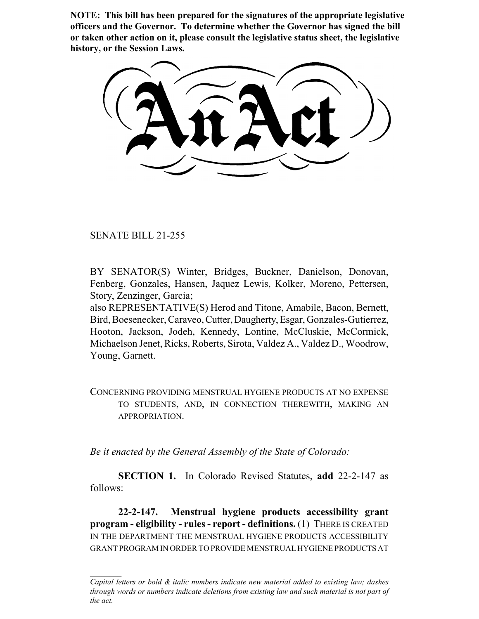**NOTE: This bill has been prepared for the signatures of the appropriate legislative officers and the Governor. To determine whether the Governor has signed the bill or taken other action on it, please consult the legislative status sheet, the legislative history, or the Session Laws.**

SENATE BILL 21-255

BY SENATOR(S) Winter, Bridges, Buckner, Danielson, Donovan, Fenberg, Gonzales, Hansen, Jaquez Lewis, Kolker, Moreno, Pettersen, Story, Zenzinger, Garcia;

also REPRESENTATIVE(S) Herod and Titone, Amabile, Bacon, Bernett, Bird, Boesenecker, Caraveo, Cutter, Daugherty, Esgar, Gonzales-Gutierrez, Hooton, Jackson, Jodeh, Kennedy, Lontine, McCluskie, McCormick, Michaelson Jenet, Ricks, Roberts, Sirota, Valdez A., Valdez D., Woodrow, Young, Garnett.

CONCERNING PROVIDING MENSTRUAL HYGIENE PRODUCTS AT NO EXPENSE TO STUDENTS, AND, IN CONNECTION THEREWITH, MAKING AN APPROPRIATION.

*Be it enacted by the General Assembly of the State of Colorado:*

**SECTION 1.** In Colorado Revised Statutes, **add** 22-2-147 as follows:

**22-2-147. Menstrual hygiene products accessibility grant program - eligibility - rules - report - definitions.** (1) THERE IS CREATED IN THE DEPARTMENT THE MENSTRUAL HYGIENE PRODUCTS ACCESSIBILITY GRANT PROGRAM IN ORDER TO PROVIDE MENSTRUAL HYGIENE PRODUCTS AT

*Capital letters or bold & italic numbers indicate new material added to existing law; dashes through words or numbers indicate deletions from existing law and such material is not part of the act.*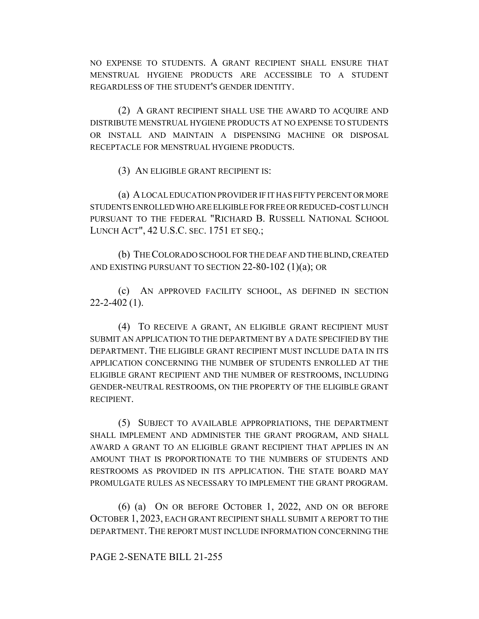NO EXPENSE TO STUDENTS. A GRANT RECIPIENT SHALL ENSURE THAT MENSTRUAL HYGIENE PRODUCTS ARE ACCESSIBLE TO A STUDENT REGARDLESS OF THE STUDENT'S GENDER IDENTITY.

(2) A GRANT RECIPIENT SHALL USE THE AWARD TO ACQUIRE AND DISTRIBUTE MENSTRUAL HYGIENE PRODUCTS AT NO EXPENSE TO STUDENTS OR INSTALL AND MAINTAIN A DISPENSING MACHINE OR DISPOSAL RECEPTACLE FOR MENSTRUAL HYGIENE PRODUCTS.

(3) AN ELIGIBLE GRANT RECIPIENT IS:

(a) A LOCAL EDUCATION PROVIDER IF IT HAS FIFTY PERCENT OR MORE STUDENTS ENROLLED WHO ARE ELIGIBLE FOR FREE OR REDUCED-COST LUNCH PURSUANT TO THE FEDERAL "RICHARD B. RUSSELL NATIONAL SCHOOL LUNCH ACT", 42 U.S.C. SEC. 1751 ET SEQ.;

(b) THE COLORADO SCHOOL FOR THE DEAF AND THE BLIND, CREATED AND EXISTING PURSUANT TO SECTION 22-80-102 (1)(a); OR

(c) AN APPROVED FACILITY SCHOOL, AS DEFINED IN SECTION  $22 - 2 - 402$  (1).

(4) TO RECEIVE A GRANT, AN ELIGIBLE GRANT RECIPIENT MUST SUBMIT AN APPLICATION TO THE DEPARTMENT BY A DATE SPECIFIED BY THE DEPARTMENT. THE ELIGIBLE GRANT RECIPIENT MUST INCLUDE DATA IN ITS APPLICATION CONCERNING THE NUMBER OF STUDENTS ENROLLED AT THE ELIGIBLE GRANT RECIPIENT AND THE NUMBER OF RESTROOMS, INCLUDING GENDER-NEUTRAL RESTROOMS, ON THE PROPERTY OF THE ELIGIBLE GRANT RECIPIENT.

(5) SUBJECT TO AVAILABLE APPROPRIATIONS, THE DEPARTMENT SHALL IMPLEMENT AND ADMINISTER THE GRANT PROGRAM, AND SHALL AWARD A GRANT TO AN ELIGIBLE GRANT RECIPIENT THAT APPLIES IN AN AMOUNT THAT IS PROPORTIONATE TO THE NUMBERS OF STUDENTS AND RESTROOMS AS PROVIDED IN ITS APPLICATION. THE STATE BOARD MAY PROMULGATE RULES AS NECESSARY TO IMPLEMENT THE GRANT PROGRAM.

(6) (a) ON OR BEFORE OCTOBER 1, 2022, AND ON OR BEFORE OCTOBER 1, 2023, EACH GRANT RECIPIENT SHALL SUBMIT A REPORT TO THE DEPARTMENT. THE REPORT MUST INCLUDE INFORMATION CONCERNING THE

## PAGE 2-SENATE BILL 21-255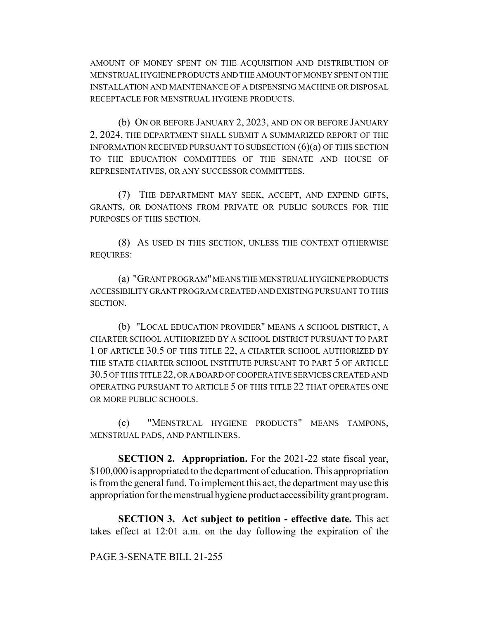AMOUNT OF MONEY SPENT ON THE ACQUISITION AND DISTRIBUTION OF MENSTRUAL HYGIENE PRODUCTS AND THE AMOUNT OF MONEY SPENT ON THE INSTALLATION AND MAINTENANCE OF A DISPENSING MACHINE OR DISPOSAL RECEPTACLE FOR MENSTRUAL HYGIENE PRODUCTS.

(b) ON OR BEFORE JANUARY 2, 2023, AND ON OR BEFORE JANUARY 2, 2024, THE DEPARTMENT SHALL SUBMIT A SUMMARIZED REPORT OF THE INFORMATION RECEIVED PURSUANT TO SUBSECTION (6)(a) OF THIS SECTION TO THE EDUCATION COMMITTEES OF THE SENATE AND HOUSE OF REPRESENTATIVES, OR ANY SUCCESSOR COMMITTEES.

(7) THE DEPARTMENT MAY SEEK, ACCEPT, AND EXPEND GIFTS, GRANTS, OR DONATIONS FROM PRIVATE OR PUBLIC SOURCES FOR THE PURPOSES OF THIS SECTION.

(8) AS USED IN THIS SECTION, UNLESS THE CONTEXT OTHERWISE REQUIRES:

(a) "GRANT PROGRAM" MEANS THE MENSTRUAL HYGIENE PRODUCTS ACCESSIBILITY GRANT PROGRAM CREATED AND EXISTING PURSUANT TO THIS SECTION.

(b) "LOCAL EDUCATION PROVIDER" MEANS A SCHOOL DISTRICT, A CHARTER SCHOOL AUTHORIZED BY A SCHOOL DISTRICT PURSUANT TO PART 1 OF ARTICLE 30.5 OF THIS TITLE 22, A CHARTER SCHOOL AUTHORIZED BY THE STATE CHARTER SCHOOL INSTITUTE PURSUANT TO PART 5 OF ARTICLE 30.5 OF THIS TITLE 22, OR A BOARD OF COOPERATIVE SERVICES CREATED AND OPERATING PURSUANT TO ARTICLE 5 OF THIS TITLE 22 THAT OPERATES ONE OR MORE PUBLIC SCHOOLS.

(c) "MENSTRUAL HYGIENE PRODUCTS" MEANS TAMPONS, MENSTRUAL PADS, AND PANTILINERS.

**SECTION 2. Appropriation.** For the 2021-22 state fiscal year, \$100,000 is appropriated to the department of education. This appropriation is from the general fund. To implement this act, the department may use this appropriation for the menstrual hygiene product accessibility grant program.

**SECTION 3. Act subject to petition - effective date.** This act takes effect at 12:01 a.m. on the day following the expiration of the

## PAGE 3-SENATE BILL 21-255